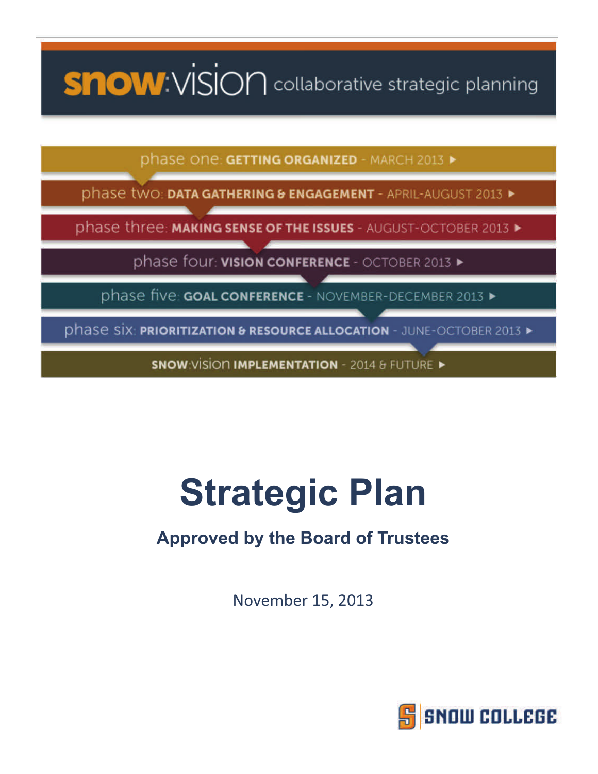# **SHOW:** VISION collaborative strategic planning

phase one: GETTING ORGANIZED - MARCH 2013 >

phase two: **DATA GAT IERING & ENGAGEMENT - APRIL-AUGUST 2013 >** 

phase three: MAKING SENSE OF THE ISSUES - AUGUST-OCTOBER 2013 >

phase four: **VISION CONFERENCE** - OCTOBER 2013 >

phase five: GOAL CONFERENCE - NOVEMBER-DECEMBER 2013 >

phase six: **PRIORITIZATION & RESOURCE ALLOCATION** - JUNE-OCTOBER 2013 >

SNOW: VISION IMPLEMENTATION - 2014 & FUTURE >

# **Strategic Plan**

# **Approved by the Board of Trustees**

November 15, 2013

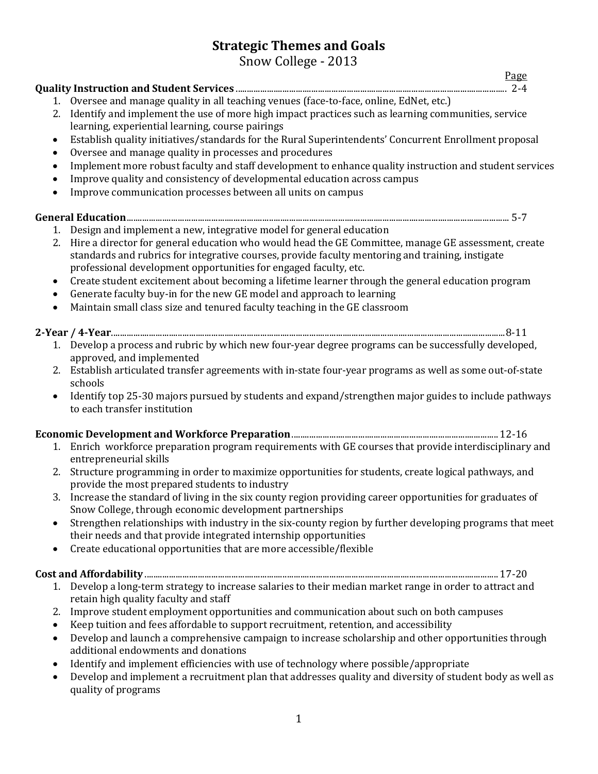# **Strategic Themes and Goals**

|                        | Snow College - 2013                                                                                                                                                                                                                                                         |
|------------------------|-----------------------------------------------------------------------------------------------------------------------------------------------------------------------------------------------------------------------------------------------------------------------------|
|                        | Page                                                                                                                                                                                                                                                                        |
|                        |                                                                                                                                                                                                                                                                             |
| 2.                     | 1. Oversee and manage quality in all teaching venues (face-to-face, online, EdNet, etc.)<br>Identify and implement the use of more high impact practices such as learning communities, service<br>learning, experiential learning, course pairings                          |
| $\bullet$              | Establish quality initiatives/standards for the Rural Superintendents' Concurrent Enrollment proposal                                                                                                                                                                       |
| ٠<br>$\bullet$         | Oversee and manage quality in processes and procedures<br>Implement more robust faculty and staff development to enhance quality instruction and student services                                                                                                           |
| $\bullet$<br>$\bullet$ | Improve quality and consistency of developmental education across campus<br>Improve communication processes between all units on campus                                                                                                                                     |
|                        |                                                                                                                                                                                                                                                                             |
| 1.                     | Design and implement a new, integrative model for general education                                                                                                                                                                                                         |
| 2.                     | Hire a director for general education who would head the GE Committee, manage GE assessment, create<br>standards and rubrics for integrative courses, provide faculty mentoring and training, instigate<br>professional development opportunities for engaged faculty, etc. |
| ٠<br>$\bullet$         | Create student excitement about becoming a lifetime learner through the general education program<br>Generate faculty buy-in for the new GE model and approach to learning                                                                                                  |
| $\bullet$              | Maintain small class size and tenured faculty teaching in the GE classroom                                                                                                                                                                                                  |
|                        |                                                                                                                                                                                                                                                                             |
|                        | 1. Develop a process and rubric by which new four-year degree programs can be successfully developed,<br>approved, and implemented                                                                                                                                          |
|                        | 2. Establish articulated transfer agreements with in-state four-year programs as well as some out-of-state<br>schools                                                                                                                                                       |
| $\bullet$              | Identify top 25-30 majors pursued by students and expand/strengthen major guides to include pathways<br>to each transfer institution                                                                                                                                        |
|                        |                                                                                                                                                                                                                                                                             |
|                        | 1. Enrich workforce preparation program requirements with GE courses that provide interdisciplinary and<br>entrepreneurial skills                                                                                                                                           |
| 2.                     | Structure programming in order to maximize opportunities for students, create logical pathways, and<br>provide the most prepared students to industry                                                                                                                       |
|                        | 3. Increase the standard of living in the six county region providing career opportunities for graduates of<br>Snow College, through economic development partnerships                                                                                                      |
| ٠                      | Strengthen relationships with industry in the six-county region by further developing programs that meet<br>their needs and that provide integrated internship opportunities                                                                                                |
| $\bullet$              | Create educational opportunities that are more accessible/flexible                                                                                                                                                                                                          |
|                        |                                                                                                                                                                                                                                                                             |
|                        | 1. Develop a long-term strategy to increase salaries to their median market range in order to attract and<br>retain high quality faculty and staff                                                                                                                          |
| 2.                     | Improve student employment opportunities and communication about such on both campuses<br>Keep tuition and fees affordable to support recruitment, retention, and accessibility                                                                                             |
| $\bullet$<br>$\bullet$ | Develop and launch a comprehensive campaign to increase scholarship and other opportunities through                                                                                                                                                                         |
|                        | additional endowments and donations                                                                                                                                                                                                                                         |
| $\bullet$<br>$\bullet$ | Identify and implement efficiencies with use of technology where possible/appropriate<br>Develop and implement a recruitment plan that addresses quality and diversity of student body as well as                                                                           |
|                        | quality of programs                                                                                                                                                                                                                                                         |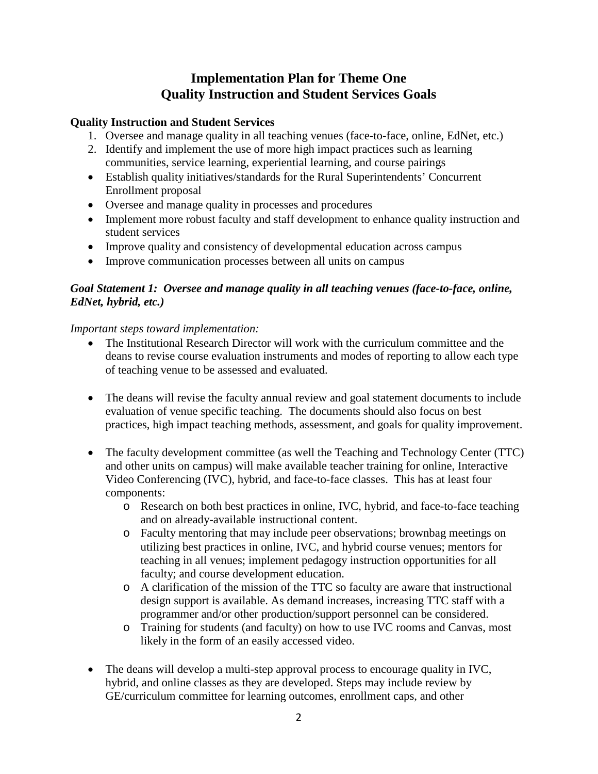# **Implementation Plan for Theme One Quality Instruction and Student Services Goals**

#### **Quality Instruction and Student Services**

- 1. Oversee and manage quality in all teaching venues (face-to-face, online, EdNet, etc.)
- 2. Identify and implement the use of more high impact practices such as learning communities, service learning, experiential learning, and course pairings
- Establish quality initiatives/standards for the Rural Superintendents' Concurrent Enrollment proposal
- Oversee and manage quality in processes and procedures
- Implement more robust faculty and staff development to enhance quality instruction and student services
- Improve quality and consistency of developmental education across campus
- Improve communication processes between all units on campus

#### *Goal Statement 1: Oversee and manage quality in all teaching venues (face-to-face, online, EdNet, hybrid, etc.)*

#### *Important steps toward implementation:*

- The Institutional Research Director will work with the curriculum committee and the deans to revise course evaluation instruments and modes of reporting to allow each type of teaching venue to be assessed and evaluated.
- The deans will revise the faculty annual review and goal statement documents to include evaluation of venue specific teaching. The documents should also focus on best practices, high impact teaching methods, assessment, and goals for quality improvement.
- The faculty development committee (as well the Teaching and Technology Center (TTC) and other units on campus) will make available teacher training for online, Interactive Video Conferencing (IVC), hybrid, and face-to-face classes. This has at least four components:
	- o Research on both best practices in online, IVC, hybrid, and face-to-face teaching and on already-available instructional content.
	- o Faculty mentoring that may include peer observations; brownbag meetings on utilizing best practices in online, IVC, and hybrid course venues; mentors for teaching in all venues; implement pedagogy instruction opportunities for all faculty; and course development education.
	- o A clarification of the mission of the TTC so faculty are aware that instructional design support is available. As demand increases, increasing TTC staff with a programmer and/or other production/support personnel can be considered.
	- o Training for students (and faculty) on how to use IVC rooms and Canvas, most likely in the form of an easily accessed video.
- The deans will develop a multi-step approval process to encourage quality in IVC, hybrid, and online classes as they are developed. Steps may include review by GE/curriculum committee for learning outcomes, enrollment caps, and other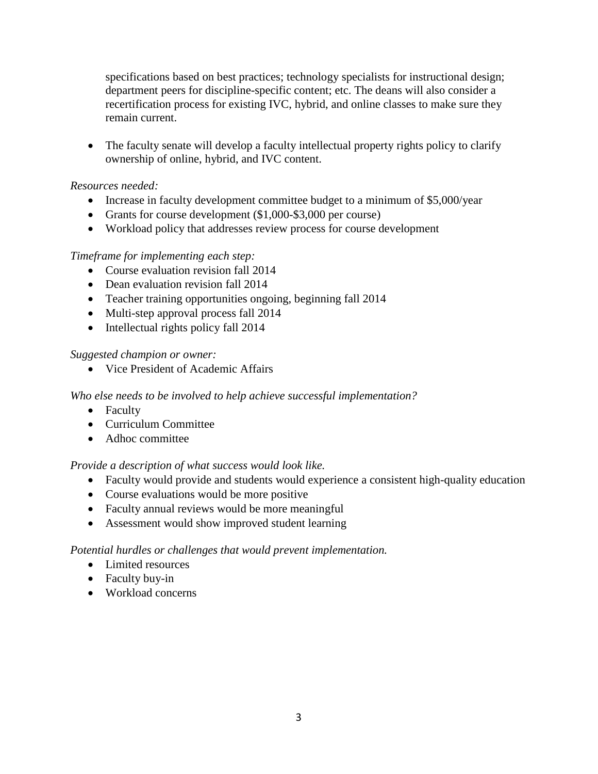specifications based on best practices; technology specialists for instructional design; department peers for discipline-specific content; etc. The deans will also consider a recertification process for existing IVC, hybrid, and online classes to make sure they remain current.

• The faculty senate will develop a faculty intellectual property rights policy to clarify ownership of online, hybrid, and IVC content.

#### *Resources needed:*

- Increase in faculty development committee budget to a minimum of \$5,000/year
- Grants for course development (\$1,000-\$3,000 per course)
- Workload policy that addresses review process for course development

#### *Timeframe for implementing each step:*

- Course evaluation revision fall 2014
- Dean evaluation revision fall 2014
- Teacher training opportunities ongoing, beginning fall 2014
- Multi-step approval process fall 2014
- Intellectual rights policy fall 2014

#### *Suggested champion or owner:*

• Vice President of Academic Affairs

#### *Who else needs to be involved to help achieve successful implementation?*

- Faculty
- Curriculum Committee
- Adhoc committee

#### *Provide a description of what success would look like.*

- Faculty would provide and students would experience a consistent high-quality education
- Course evaluations would be more positive
- Faculty annual reviews would be more meaningful
- Assessment would show improved student learning

- Limited resources
- Faculty buy-in
- Workload concerns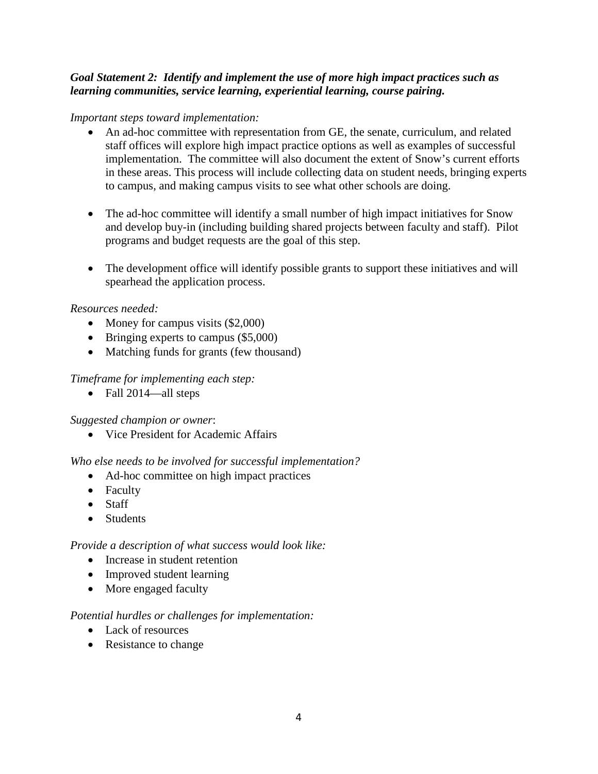#### *Goal Statement 2: Identify and implement the use of more high impact practices such as learning communities, service learning, experiential learning, course pairing.*

#### *Important steps toward implementation:*

- An ad-hoc committee with representation from GE, the senate, curriculum, and related staff offices will explore high impact practice options as well as examples of successful implementation. The committee will also document the extent of Snow's current efforts in these areas. This process will include collecting data on student needs, bringing experts to campus, and making campus visits to see what other schools are doing.
- The ad-hoc committee will identify a small number of high impact initiatives for Snow and develop buy-in (including building shared projects between faculty and staff). Pilot programs and budget requests are the goal of this step.
- The development office will identify possible grants to support these initiatives and will spearhead the application process.

#### *Resources needed:*

- Money for campus visits (\$2,000)
- Bringing experts to campus (\$5,000)
- Matching funds for grants (few thousand)

#### *Timeframe for implementing each step:*

• Fall 2014—all steps

#### *Suggested champion or owner*:

• Vice President for Academic Affairs

#### *Who else needs to be involved for successful implementation?*

- Ad-hoc committee on high impact practices
- Faculty
- Staff
- Students

#### *Provide a description of what success would look like:*

- Increase in student retention
- Improved student learning
- More engaged faculty

#### *Potential hurdles or challenges for implementation:*

- Lack of resources
- Resistance to change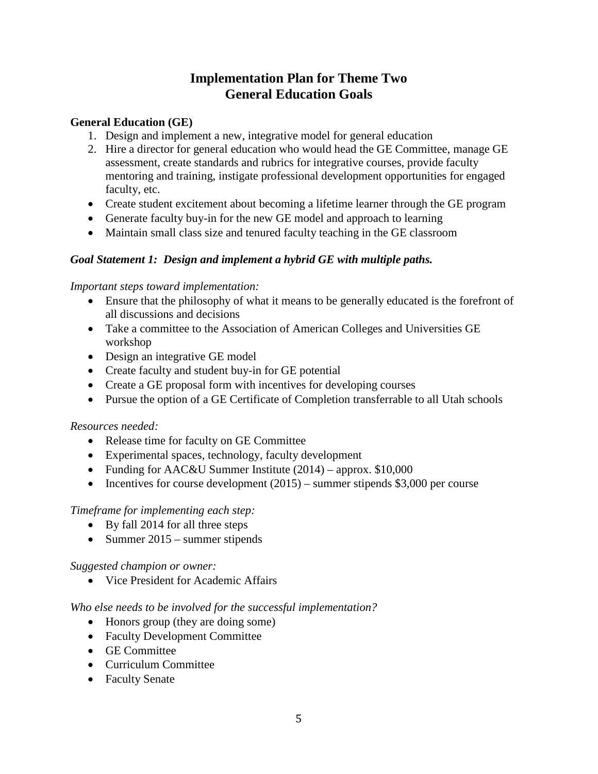### **Implementation Plan for Theme Two General Education Goals**

#### **General Education (GE)**

- 1. Design and implement a new, integrative model for general education
- 2. Hire a director for general education who would head the GE Committee, manage GE assessment, create standards and rubrics for integrative courses, provide faculty mentoring and training, instigate professional development opportunities for engaged faculty, etc.
- Create student excitement about becoming a lifetime learner through the GE program
- Generate faculty buy-in for the new GE model and approach to learning
- Maintain small class size and tenured faculty teaching in the GE classroom

#### *Goal Statement 1: Design and implement a hybrid GE with multiple paths.*

#### *Important steps toward implementation:*

- Ensure that the philosophy of what it means to be generally educated is the forefront of all discussions and decisions
- Take a committee to the Association of American Colleges and Universities GE workshop
- Design an integrative GE model
- Create faculty and student buy-in for GE potential
- Create a GE proposal form with incentives for developing courses
- Pursue the option of a GE Certificate of Completion transferrable to all Utah schools

#### *Resources needed:*

- Release time for faculty on GE Committee
- Experimental spaces, technology, faculty development
- Funding for AAC&U Summer Institute (2014) approx. \$10,000
- Incentives for course development  $(2015)$  summer stipends \$3,000 per course

#### *Timeframe for implementing each step:*

- By fall 2014 for all three steps
- Summer 2015 summer stipends

#### *Suggested champion or owner:*

• Vice President for Academic Affairs

#### *Who else needs to be involved for the successful implementation?*

- Honors group (they are doing some)
- Faculty Development Committee
- GE Committee
- Curriculum Committee
- Faculty Senate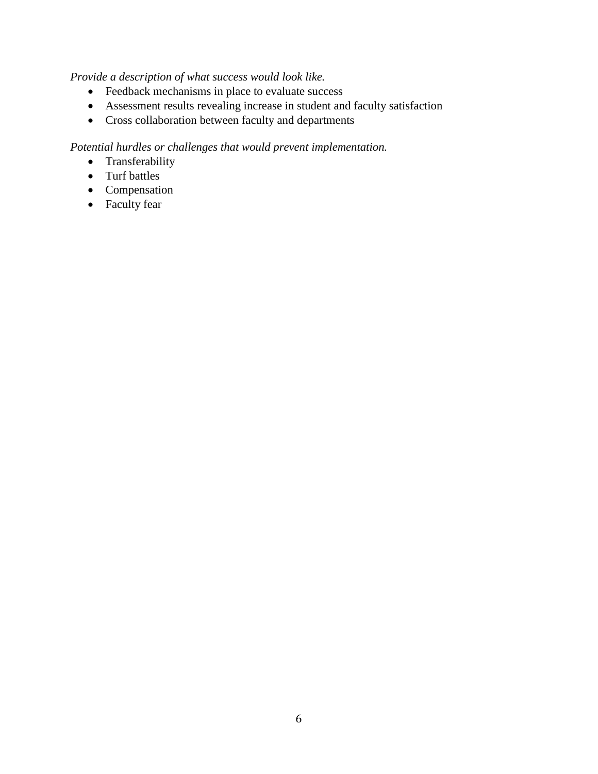#### *Provide a description of what success would look like.*

- Feedback mechanisms in place to evaluate success
- Assessment results revealing increase in student and faculty satisfaction
- Cross collaboration between faculty and departments

- Transferability
- Turf battles
- Compensation
- Faculty fear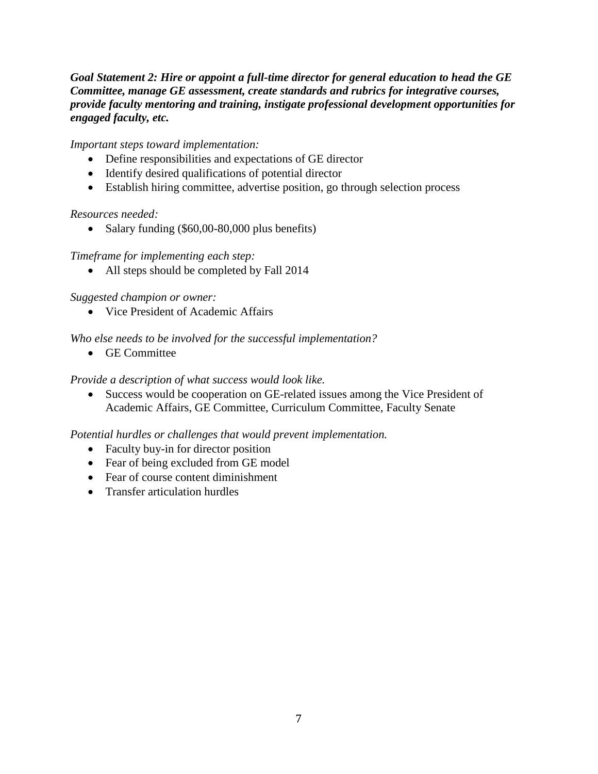#### *Goal Statement 2: Hire or appoint a full-time director for general education to head the GE Committee, manage GE assessment, create standards and rubrics for integrative courses, provide faculty mentoring and training, instigate professional development opportunities for engaged faculty, etc.*

#### *Important steps toward implementation:*

- Define responsibilities and expectations of GE director
- Identify desired qualifications of potential director
- Establish hiring committee, advertise position, go through selection process

#### *Resources needed:*

• Salary funding (\$60,00-80,000 plus benefits)

#### *Timeframe for implementing each step:*

• All steps should be completed by Fall 2014

#### *Suggested champion or owner:*

• Vice President of Academic Affairs

#### *Who else needs to be involved for the successful implementation?*

• GE Committee

#### *Provide a description of what success would look like.*

• Success would be cooperation on GE-related issues among the Vice President of Academic Affairs, GE Committee, Curriculum Committee, Faculty Senate

- Faculty buy-in for director position
- Fear of being excluded from GE model
- Fear of course content diminishment
- Transfer articulation hurdles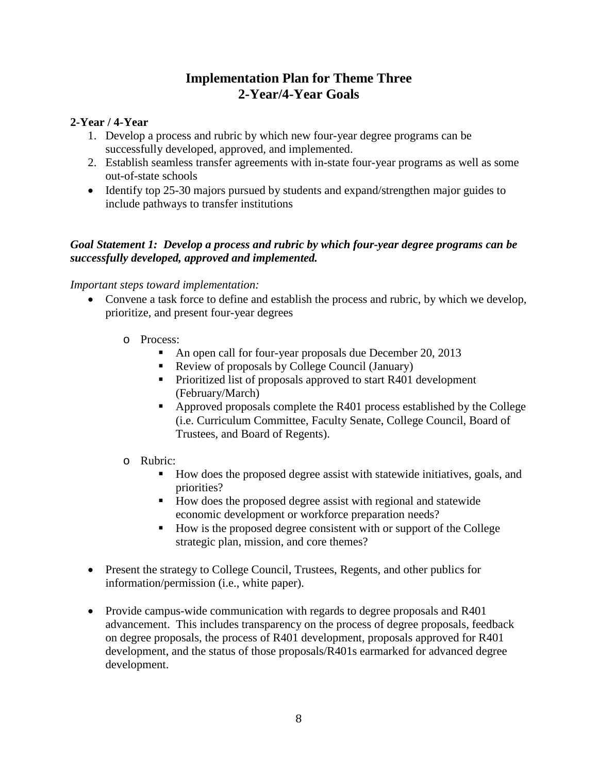### **Implementation Plan for Theme Three 2-Year/4-Year Goals**

#### **2-Year / 4-Year**

- 1. Develop a process and rubric by which new four-year degree programs can be successfully developed, approved, and implemented.
- 2. Establish seamless transfer agreements with in-state four-year programs as well as some out-of-state schools
- Identify top 25-30 majors pursued by students and expand/strengthen major guides to include pathways to transfer institutions

#### *Goal Statement 1: Develop a process and rubric by which four-year degree programs can be successfully developed, approved and implemented.*

#### *Important steps toward implementation:*

- Convene a task force to define and establish the process and rubric, by which we develop, prioritize, and present four-year degrees
	- o Process:
		- An open call for four-year proposals due December 20, 2013
		- Review of proposals by College Council (January)
		- Prioritized list of proposals approved to start R401 development (February/March)
		- Approved proposals complete the R401 process established by the College (i.e. Curriculum Committee, Faculty Senate, College Council, Board of Trustees, and Board of Regents).

#### o Rubric:

- How does the proposed degree assist with statewide initiatives, goals, and priorities?
- How does the proposed degree assist with regional and statewide economic development or workforce preparation needs?
- $\blacksquare$  How is the proposed degree consistent with or support of the College strategic plan, mission, and core themes?
- Present the strategy to College Council, Trustees, Regents, and other publics for information/permission (i.e., white paper).
- Provide campus-wide communication with regards to degree proposals and R401 advancement. This includes transparency on the process of degree proposals, feedback on degree proposals, the process of R401 development, proposals approved for R401 development, and the status of those proposals/R401s earmarked for advanced degree development.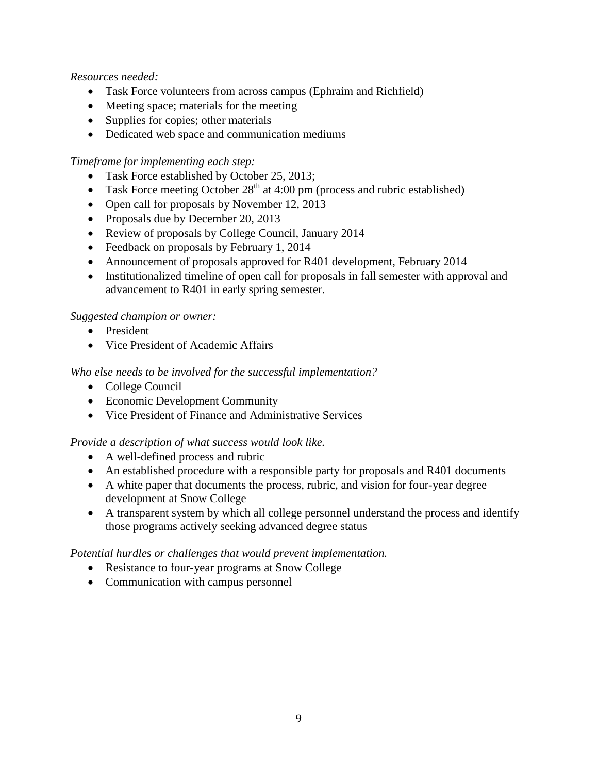#### *Resources needed:*

- Task Force volunteers from across campus (Ephraim and Richfield)
- Meeting space; materials for the meeting
- Supplies for copies; other materials
- Dedicated web space and communication mediums

#### *Timeframe for implementing each step:*

- Task Force established by October 25, 2013;
- Task Force meeting October  $28<sup>th</sup>$  at 4:00 pm (process and rubric established)
- Open call for proposals by November 12, 2013
- Proposals due by December 20, 2013
- Review of proposals by College Council, January 2014
- Feedback on proposals by February 1, 2014
- Announcement of proposals approved for R401 development, February 2014
- Institutionalized timeline of open call for proposals in fall semester with approval and advancement to R401 in early spring semester.

#### *Suggested champion or owner:*

- President
- Vice President of Academic Affairs

#### *Who else needs to be involved for the successful implementation?*

- College Council
- Economic Development Community
- Vice President of Finance and Administrative Services

#### *Provide a description of what success would look like.*

- A well-defined process and rubric
- An established procedure with a responsible party for proposals and R401 documents
- A white paper that documents the process, rubric, and vision for four-year degree development at Snow College
- A transparent system by which all college personnel understand the process and identify those programs actively seeking advanced degree status

- Resistance to four-year programs at Snow College
- Communication with campus personnel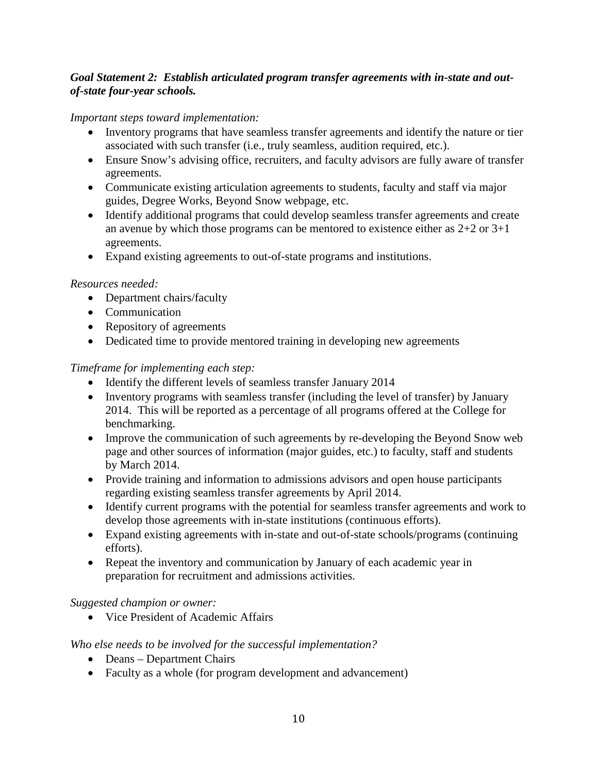#### *Goal Statement 2: Establish articulated program transfer agreements with in-state and outof-state four-year schools.*

#### *Important steps toward implementation:*

- Inventory programs that have seamless transfer agreements and identify the nature or tier associated with such transfer (i.e., truly seamless, audition required, etc.).
- Ensure Snow's advising office, recruiters, and faculty advisors are fully aware of transfer agreements.
- Communicate existing articulation agreements to students, faculty and staff via major guides, Degree Works, Beyond Snow webpage, etc.
- Identify additional programs that could develop seamless transfer agreements and create an avenue by which those programs can be mentored to existence either as 2+2 or 3+1 agreements.
- Expand existing agreements to out-of-state programs and institutions.

#### *Resources needed:*

- Department chairs/faculty
- Communication
- Repository of agreements
- Dedicated time to provide mentored training in developing new agreements

#### *Timeframe for implementing each step:*

- Identify the different levels of seamless transfer January 2014
- Inventory programs with seamless transfer (including the level of transfer) by January 2014. This will be reported as a percentage of all programs offered at the College for benchmarking.
- Improve the communication of such agreements by re-developing the Beyond Snow web page and other sources of information (major guides, etc.) to faculty, staff and students by March 2014.
- Provide training and information to admissions advisors and open house participants regarding existing seamless transfer agreements by April 2014.
- Identify current programs with the potential for seamless transfer agreements and work to develop those agreements with in-state institutions (continuous efforts).
- Expand existing agreements with in-state and out-of-state schools/programs (continuing efforts).
- Repeat the inventory and communication by January of each academic year in preparation for recruitment and admissions activities.

#### *Suggested champion or owner:*

• Vice President of Academic Affairs

#### *Who else needs to be involved for the successful implementation?*

- Deans Department Chairs
- Faculty as a whole (for program development and advancement)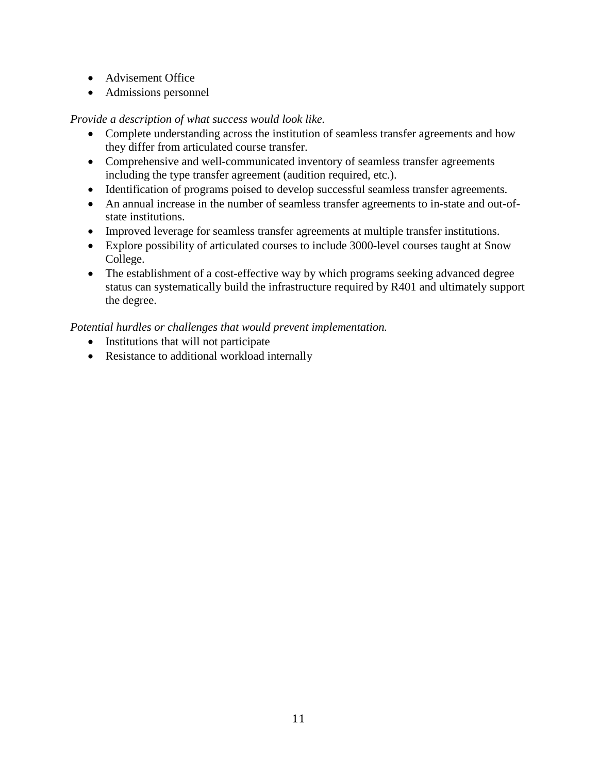- Advisement Office
- Admissions personnel

#### *Provide a description of what success would look like.*

- Complete understanding across the institution of seamless transfer agreements and how they differ from articulated course transfer.
- Comprehensive and well-communicated inventory of seamless transfer agreements including the type transfer agreement (audition required, etc.).
- Identification of programs poised to develop successful seamless transfer agreements.
- An annual increase in the number of seamless transfer agreements to in-state and out-ofstate institutions.
- Improved leverage for seamless transfer agreements at multiple transfer institutions.
- Explore possibility of articulated courses to include 3000-level courses taught at Snow College.
- The establishment of a cost-effective way by which programs seeking advanced degree status can systematically build the infrastructure required by R401 and ultimately support the degree.

- Institutions that will not participate
- Resistance to additional workload internally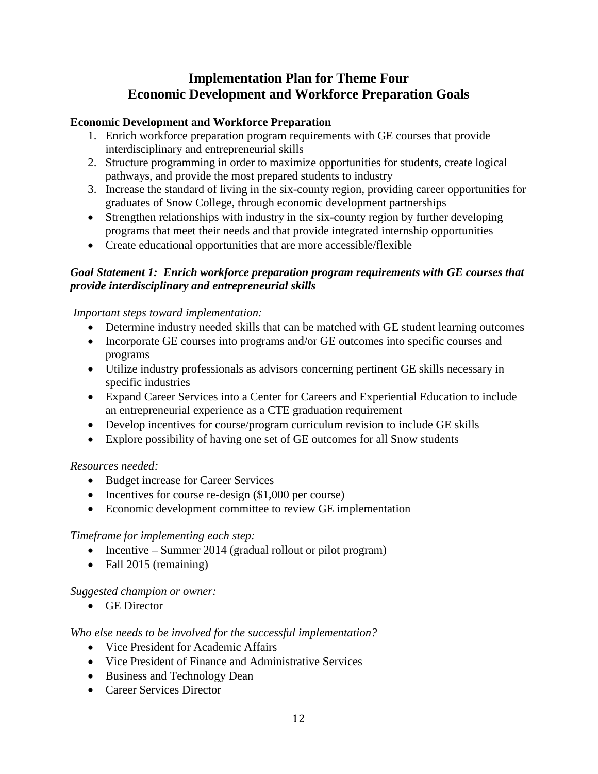# **Implementation Plan for Theme Four Economic Development and Workforce Preparation Goals**

#### **Economic Development and Workforce Preparation**

- 1. Enrich workforce preparation program requirements with GE courses that provide interdisciplinary and entrepreneurial skills
- 2. Structure programming in order to maximize opportunities for students, create logical pathways, and provide the most prepared students to industry
- 3. Increase the standard of living in the six-county region, providing career opportunities for graduates of Snow College, through economic development partnerships
- Strengthen relationships with industry in the six-county region by further developing programs that meet their needs and that provide integrated internship opportunities
- Create educational opportunities that are more accessible/flexible

#### *Goal Statement 1: Enrich workforce preparation program requirements with GE courses that provide interdisciplinary and entrepreneurial skills*

#### *Important steps toward implementation:*

- Determine industry needed skills that can be matched with GE student learning outcomes
- Incorporate GE courses into programs and/or GE outcomes into specific courses and programs
- Utilize industry professionals as advisors concerning pertinent GE skills necessary in specific industries
- Expand Career Services into a Center for Careers and Experiential Education to include an entrepreneurial experience as a CTE graduation requirement
- Develop incentives for course/program curriculum revision to include GE skills
- Explore possibility of having one set of GE outcomes for all Snow students

#### *Resources needed:*

- Budget increase for Career Services
- Incentives for course re-design (\$1,000 per course)
- Economic development committee to review GE implementation

#### *Timeframe for implementing each step:*

- Incentive Summer 2014 (gradual rollout or pilot program)
- Fall 2015 (remaining)

#### *Suggested champion or owner:*

• GE Director

#### *Who else needs to be involved for the successful implementation?*

- Vice President for Academic Affairs
- Vice President of Finance and Administrative Services
- Business and Technology Dean
- Career Services Director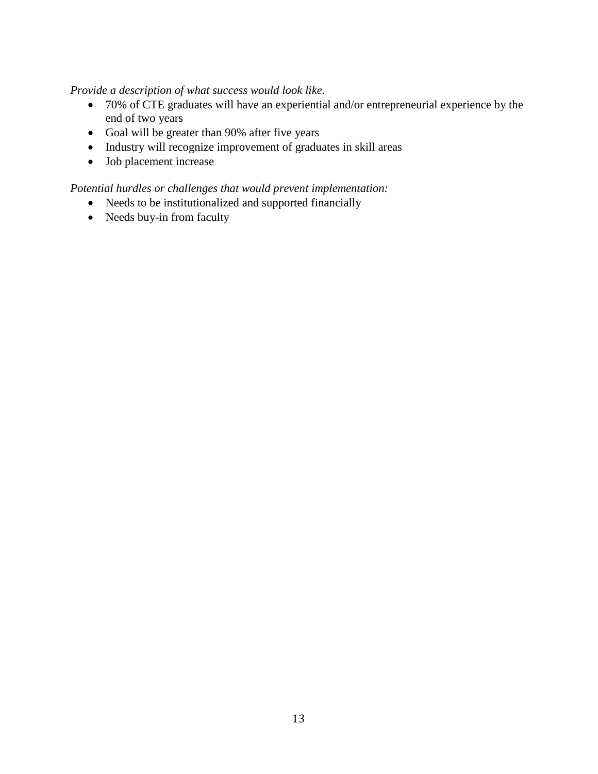#### *Provide a description of what success would look like.*

- 70% of CTE graduates will have an experiential and/or entrepreneurial experience by the end of two years
- Goal will be greater than 90% after five years
- Industry will recognize improvement of graduates in skill areas
- Job placement increase

- Needs to be institutionalized and supported financially
- Needs buy-in from faculty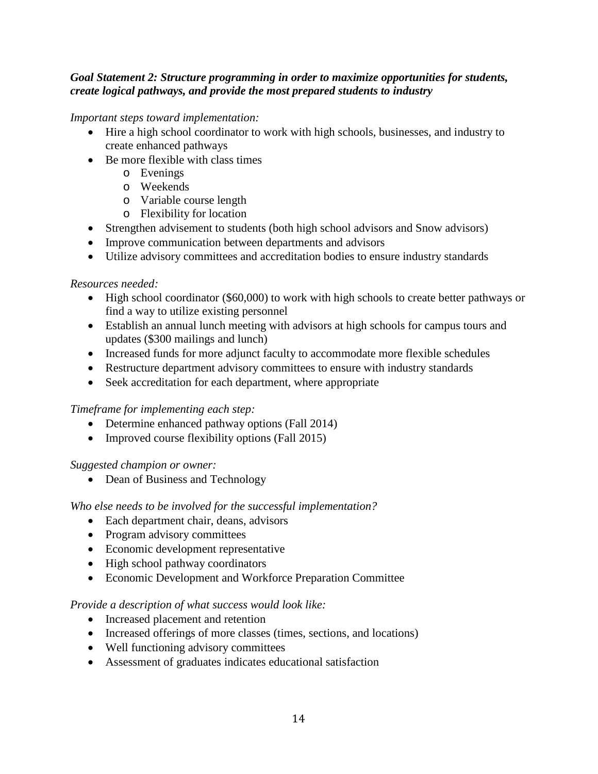#### *Goal Statement 2: Structure programming in order to maximize opportunities for students, create logical pathways, and provide the most prepared students to industry*

*Important steps toward implementation:*

- Hire a high school coordinator to work with high schools, businesses, and industry to create enhanced pathways
- Be more flexible with class times
	- o Evenings
	- o Weekends
	- o Variable course length
	- o Flexibility for location
- Strengthen advisement to students (both high school advisors and Snow advisors)
- Improve communication between departments and advisors
- Utilize advisory committees and accreditation bodies to ensure industry standards

#### *Resources needed:*

- High school coordinator (\$60,000) to work with high schools to create better pathways or find a way to utilize existing personnel
- Establish an annual lunch meeting with advisors at high schools for campus tours and updates (\$300 mailings and lunch)
- Increased funds for more adjunct faculty to accommodate more flexible schedules
- Restructure department advisory committees to ensure with industry standards
- Seek accreditation for each department, where appropriate

#### *Timeframe for implementing each step:*

- Determine enhanced pathway options (Fall 2014)
- Improved course flexibility options (Fall 2015)

#### *Suggested champion or owner:*

• Dean of Business and Technology

#### *Who else needs to be involved for the successful implementation?*

- Each department chair, deans, advisors
- Program advisory committees
- Economic development representative
- High school pathway coordinators
- Economic Development and Workforce Preparation Committee

#### *Provide a description of what success would look like:*

- Increased placement and retention
- Increased offerings of more classes (times, sections, and locations)
- Well functioning advisory committees
- Assessment of graduates indicates educational satisfaction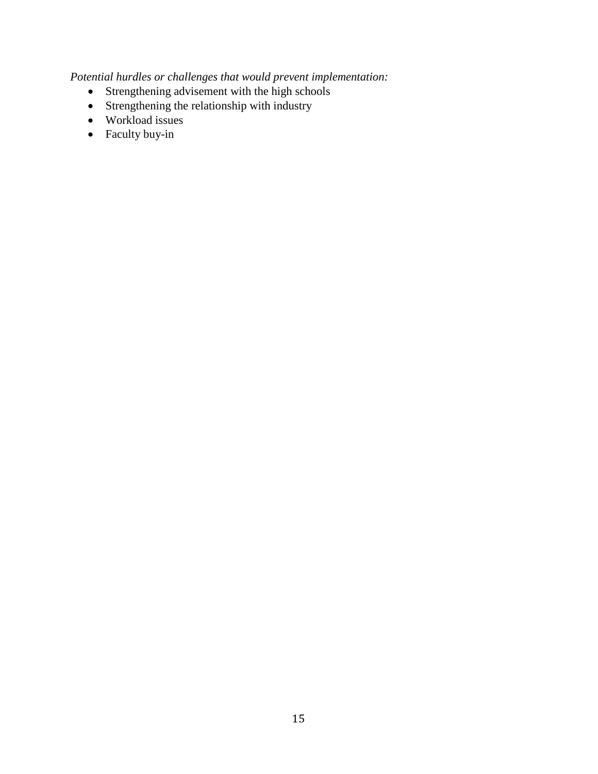- Strengthening advisement with the high schools
- Strengthening the relationship with industry
- Workload issues
- Faculty buy-in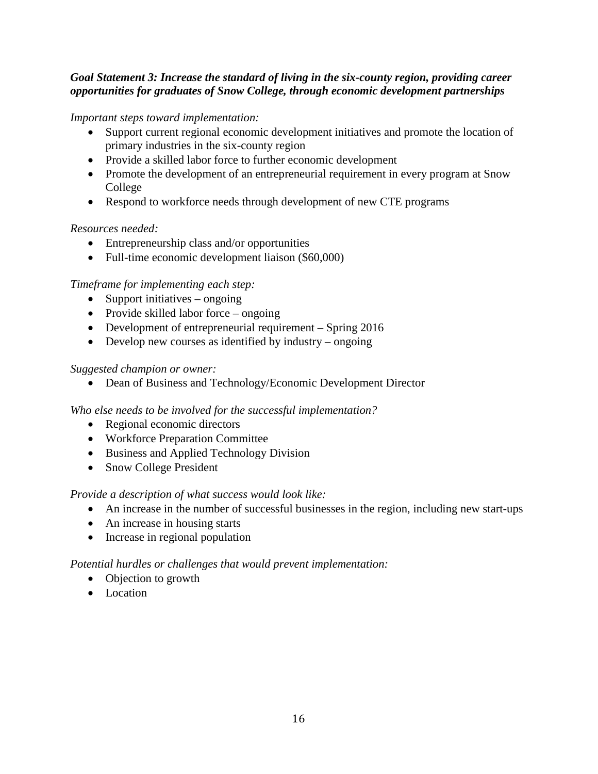#### *Goal Statement 3: Increase the standard of living in the six-county region, providing career opportunities for graduates of Snow College, through economic development partnerships*

*Important steps toward implementation:*

- Support current regional economic development initiatives and promote the location of primary industries in the six-county region
- Provide a skilled labor force to further economic development
- Promote the development of an entrepreneurial requirement in every program at Snow College
- Respond to workforce needs through development of new CTE programs

#### *Resources needed:*

- Entrepreneurship class and/or opportunities
- Full-time economic development liaison (\$60,000)

#### *Timeframe for implementing each step:*

- Support initiatives ongoing
- Provide skilled labor force ongoing
- Development of entrepreneurial requirement Spring 2016
- Develop new courses as identified by industry ongoing

#### *Suggested champion or owner:*

• Dean of Business and Technology/Economic Development Director

*Who else needs to be involved for the successful implementation?*

- Regional economic directors
- Workforce Preparation Committee
- Business and Applied Technology Division
- Snow College President

#### *Provide a description of what success would look like:*

- An increase in the number of successful businesses in the region, including new start-ups
- An increase in housing starts
- Increase in regional population

- Objection to growth
- Location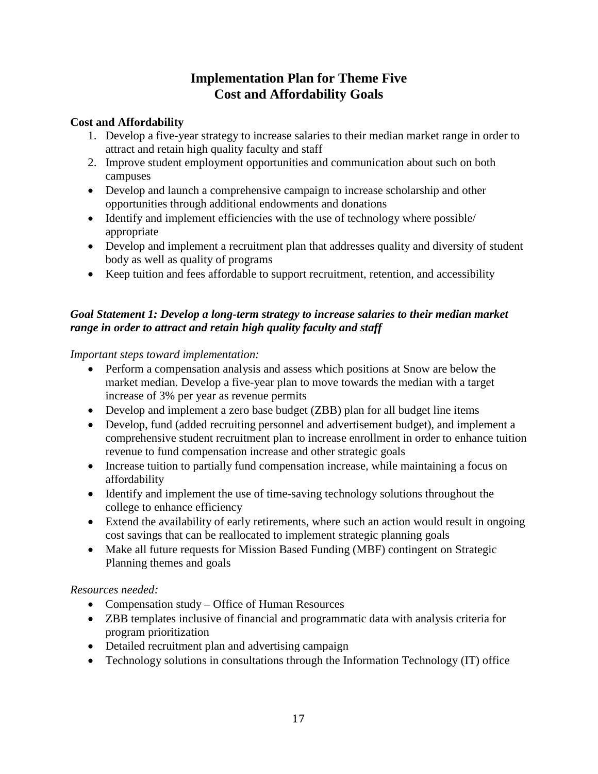# **Implementation Plan for Theme Five Cost and Affordability Goals**

#### **Cost and Affordability**

- 1. Develop a five-year strategy to increase salaries to their median market range in order to attract and retain high quality faculty and staff
- 2. Improve student employment opportunities and communication about such on both campuses
- Develop and launch a comprehensive campaign to increase scholarship and other opportunities through additional endowments and donations
- Identify and implement efficiencies with the use of technology where possible/ appropriate
- Develop and implement a recruitment plan that addresses quality and diversity of student body as well as quality of programs
- Keep tuition and fees affordable to support recruitment, retention, and accessibility

#### *Goal Statement 1: Develop a long-term strategy to increase salaries to their median market range in order to attract and retain high quality faculty and staff*

#### *Important steps toward implementation:*

- Perform a compensation analysis and assess which positions at Snow are below the market median. Develop a five-year plan to move towards the median with a target increase of 3% per year as revenue permits
- Develop and implement a zero base budget (ZBB) plan for all budget line items
- Develop, fund (added recruiting personnel and advertisement budget), and implement a comprehensive student recruitment plan to increase enrollment in order to enhance tuition revenue to fund compensation increase and other strategic goals
- Increase tuition to partially fund compensation increase, while maintaining a focus on affordability
- Identify and implement the use of time-saving technology solutions throughout the college to enhance efficiency
- Extend the availability of early retirements, where such an action would result in ongoing cost savings that can be reallocated to implement strategic planning goals
- Make all future requests for Mission Based Funding (MBF) contingent on Strategic Planning themes and goals

#### *Resources needed:*

- Compensation study Office of Human Resources
- ZBB templates inclusive of financial and programmatic data with analysis criteria for program prioritization
- Detailed recruitment plan and advertising campaign
- Technology solutions in consultations through the Information Technology (IT) office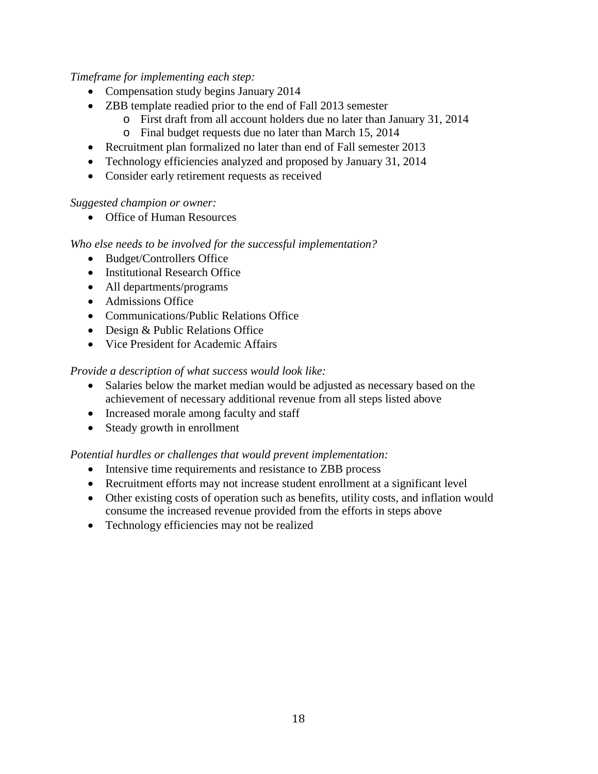*Timeframe for implementing each step:*

- Compensation study begins January 2014
- ZBB template readied prior to the end of Fall 2013 semester
	- o First draft from all account holders due no later than January 31, 2014
	- o Final budget requests due no later than March 15, 2014
- Recruitment plan formalized no later than end of Fall semester 2013
- Technology efficiencies analyzed and proposed by January 31, 2014
- Consider early retirement requests as received

#### *Suggested champion or owner:*

• Office of Human Resources

#### *Who else needs to be involved for the successful implementation?*

- Budget/Controllers Office
- Institutional Research Office
- All departments/programs
- Admissions Office
- Communications/Public Relations Office
- Design & Public Relations Office
- Vice President for Academic Affairs

#### *Provide a description of what success would look like:*

- Salaries below the market median would be adjusted as necessary based on the achievement of necessary additional revenue from all steps listed above
- Increased morale among faculty and staff
- Steady growth in enrollment

- Intensive time requirements and resistance to ZBB process
- Recruitment efforts may not increase student enrollment at a significant level
- Other existing costs of operation such as benefits, utility costs, and inflation would consume the increased revenue provided from the efforts in steps above
- Technology efficiencies may not be realized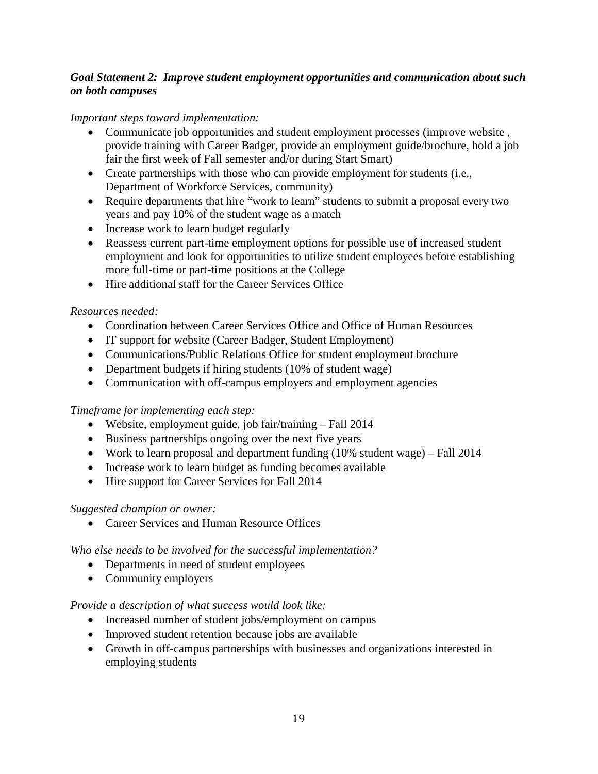#### *Goal Statement 2: Improve student employment opportunities and communication about such on both campuses*

#### *Important steps toward implementation:*

- Communicate job opportunities and student employment processes (improve website , provide training with Career Badger, provide an employment guide/brochure, hold a job fair the first week of Fall semester and/or during Start Smart)
- Create partnerships with those who can provide employment for students (i.e., Department of Workforce Services, community)
- Require departments that hire "work to learn" students to submit a proposal every two years and pay 10% of the student wage as a match
- Increase work to learn budget regularly
- Reassess current part-time employment options for possible use of increased student employment and look for opportunities to utilize student employees before establishing more full-time or part-time positions at the College
- Hire additional staff for the Career Services Office

#### *Resources needed:*

- Coordination between Career Services Office and Office of Human Resources
- IT support for website (Career Badger, Student Employment)
- Communications/Public Relations Office for student employment brochure
- Department budgets if hiring students (10% of student wage)
- Communication with off-campus employers and employment agencies

#### *Timeframe for implementing each step:*

- Website, employment guide, job fair/training Fall 2014
- Business partnerships ongoing over the next five years
- Work to learn proposal and department funding (10% student wage) Fall 2014
- Increase work to learn budget as funding becomes available
- Hire support for Career Services for Fall 2014

#### *Suggested champion or owner:*

• Career Services and Human Resource Offices

#### *Who else needs to be involved for the successful implementation?*

- Departments in need of student employees
- Community employers

#### *Provide a description of what success would look like:*

- Increased number of student jobs/employment on campus
- Improved student retention because jobs are available
- Growth in off-campus partnerships with businesses and organizations interested in employing students